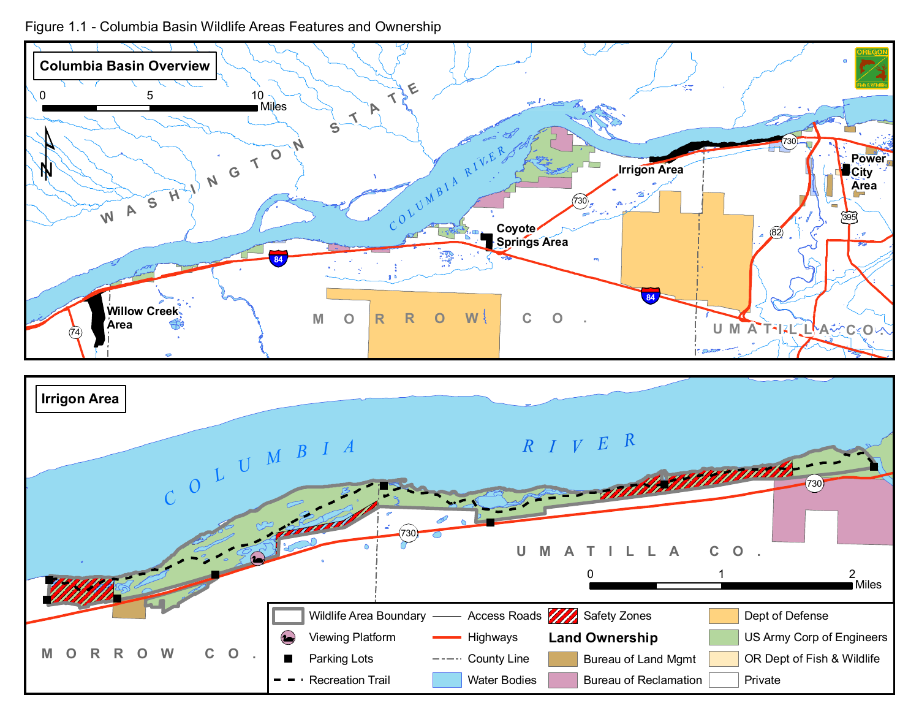Figure 1.1 - Columbia Basin Wildlife Areas Features and Ownership